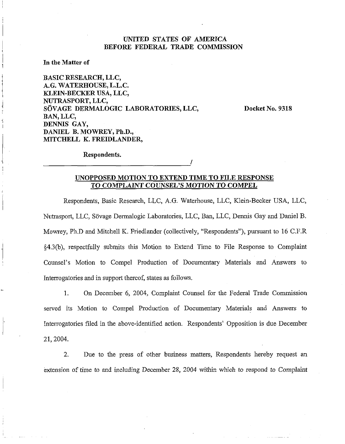## UNITED STATES OF AMERICA BEFORE FEDERAL TRADE COMMISSION

In the Matter of

BASIC RESEARCH, LLC, A.G. WATERHOUSE, L.L.C. KLEIN-BECKER USA, LLC, NUTRASPORT, LLC, SÖVAGE DERMALOGIC LABORATORIES, LLC, BAN, LLC, DENNIS GAY, DANIEL B. MOWREY, Ph.D., MITCHELL K. FREIDLANDER,

Docket No. 9318

Respondents.

# UNOPPOSED MOTION TO EXTEND TIME TO FILE RESPONSE TO COMPLAINT COUNSEL'S MOTION TO COMPEL

Respondents, Basic Research, LLC, A.G. Waterhouse, LLC, Klein-Becker USA, LLC, Nutrasport, LLC, Sovage Dennalogic Laboratories, LLC, Ban, LLC, Dennis Gay and Daniel B. Mowrey, Ph.D and Mitchell K. Friedlander (collectively, "Respondents"), pursuant to 16 C.F.R. §4.3(b), respectfully submits this Motion to Extend Time to File Response to Complaint Counsel's Motion to Compel Production of Documentary Materials and Answers to Interrogatories and in support thereof, states as follows.

1. On December 6, 2004, Complaint Counsel for the Federal Trade Commission served its Motion to Compel Production of Documentary Materials and Answers to Interrogatories filed in the above-identified action. Respondents' Opposition is due December 21,2004.

2. Due to the press of other business matters, Respondents hereby request an extension of time to and including December 28, 2004 within which to respond to Complaint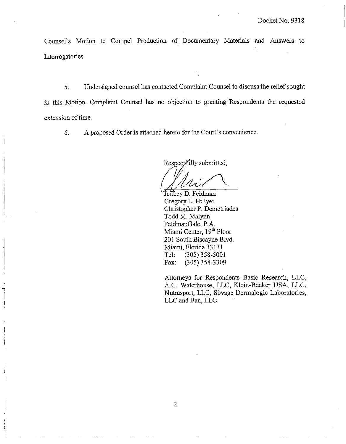Counsel's Motion to Compel Production of Documentary Materials and Answers to Interrogatories.

5. Undersigned counsel has contacted Complaint Counsel to discuss the relief sought in this Motion. Complaint Counsel has no objection to granting Respondents the requested extension of time.

*6.* A proposed Order is attached hereto for the Court's convenience.

Respectfully submitted,

Jeffrey D. Feldman Gregory L. Hillyer Clristopher P. Demetriades Todd M. Malynn FeldmanGale, P.A. Miami Center, 19<sup>th</sup> Floor 201 South Biscayne Blvd. Miami, Florida 33 13 1 Tel: (305) 358-5001 Fax: (305) 358-3309

Attorneys for Respondents Basic Research, LLC, A.G. Waterhouse, LLC, Klein-Becker USA, LLC, Nutrasport, LLC, Sövage Dermalogic Laboratories, LLC md Ban, LLC

 $\overline{2}$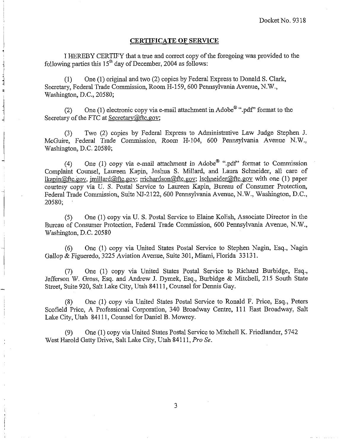#### **CERTIFICATE OF SERVICE**

I HEREBY CERTIFY that a true and correct copy of the foregoing was provided to the following parties this  $15<sup>th</sup>$  day of December, 2004 as follows:

(1) One (1) original and two (2) copies by Federal Express to Donald S. Clark, Secretary, Federal Trade Commission, Room H-159, 600 Pennsylvania Avenue, N.W., Washington, D.C., 20580;

(2) One (1) electronic copy via e-mail attachment in Adobe<sup>®</sup> ".pdf" format to the Secretary of the FTC at Secretary@ftc.gov;

(3) Two (2) copies by Federal Express to Administrative Law Judge Stephen J. McGuire, Federal Trade Commission, Room H-104, 600 Pennsylvania Avenue N.W., Washington, D.C. 20580;

(4) One (1) copy via e-mail attachment in Adobe<sup>®</sup> ".pdf" format to Commission Complaint Counsel, Laureen Kapin, Joshua S. Millard, and Laura Sclmeider, all care of lkapin $@$ ftc.gov, imillard $@$ ftc.gov; rrichardson $@$ ftc.gov; lschneider $@$ ftc.gov with one (1) paper courtesy copy via U. S. Postal Service to Laureen Kapin, Bureau of Consumer Protection, Federal Trade Commission, Suite NJ-2122, 600 Pennsylvania Avenue, N.W., Washington, D.C., 20580;

(5) One (1) copy via U. S. Postal Service to Elaine Kolish, Associate Director in the Bureau of Consumer Protection, Federal Trade Conmission, 600 Pennsylvania Avenue, N.W., Washington, D.C. 20580

(6) One (1) copy via United States Postal Service to Stephen Nagin, Esq., Nagin Gallop & Figueredo, 3225 Aviation Avenue, Suite 301, Miami, Florida 33 131.

(7) One (1) copy via United States Postal Service to Richard Burbidge, Esq., Jefferson W. Gross, Esq. and Andrew J. Dymek, Esq., Burbidge & Mitchell, 215 South State Street, Suite 920, Salt Lake City, Utah 841 11, Counsel for Dennis Gay.

(8) One (1) copy via United States Postal Service to Ronald F. Price, Esq., Peters Scofield Price, A Professional Corporation, 340 Broadway Centre, 111 East Broadway, Salt Lake City, Utah 84111, Counsel for Daniel B. Mowrey.

(9) One (1) copy via United States Postal Service to Mitchell I<. Friedlander, 5742 West Harold Gatty Drive, Salt Lake City, Utah 84111, Pro Se.

3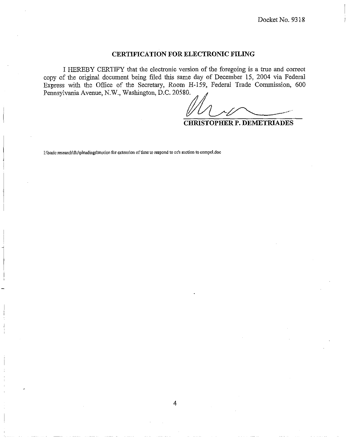### **CERTIFICATION FOR ELECTRONIC FILING**

I HEREBY CERTIFY that the electronic version of the foregoing is a true and correct copy of the original document being filed this same day of December 15, 2004 via Federal Express with the Office of the Secretary, Room H-159, Federal Trade Commission, 600 Pennsylvania Avenue, N.W., Washington, D.C. 20580.

A ,I Yf2-e-

**CHRISTOPHER P. DEMETRIADES** 

I:\basic research\ftc\pleadings\motion for extension of time to respond to cc's motion to compel.doc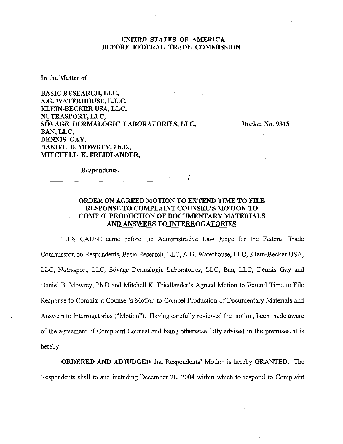## UNITED STATES OF AMERICA BEFORE FEDERAL TRADE COMMISSION

**In** the **Matter of** 

BASIC RESEARCH, LLC, A.G. WATERHOUSE, L.L.C. KLEIN-BECKER USA, LLC, NUTRASPORT, LLC, SOVAGE DERMALOGIC LABORATORIES, LLC, BAN, LLC, DENNIS GAY, DANIEL B. MOWREY, Ph.D., MITCHELL K. FREIDLANDER,

Docket No. 9318

Respondents.

# ORDER ON AGREED MOTION TO EXTEND TIME TO FILE RESPONSE TO COMPLAINT COUNSEL'S MOTION TO COMPEL PRODUCTION OF DOCUMENTARY MATERIALS AND ANSWERS TO INTERROGATORIES

THIS CAUSE came before the Administrative Law Judge for the Federal Trade Commission on Respondents, Basic Research, LLC, A.G. Waterhouse, LLC, Klein-Becker USA, LLC, Nutrasport, LLC, Sovage Dermalogic Laboratories, LLC, Ban, LLC, Dennis Gay and Daniel B. Mowrey, Ph.D and Mitchell K. Friedlander's Agreed Motion to Extend Time to File Response to Complaint Counsel's Motion to Compel Production of Documentary Materials and Answers to Jnterrogatories ("Motion"). Having carefully reviewed the motion, been made aware of the agreement of Complaint Counsel and being otherwise fully advised in the premises, it is hereby

ORDERED AND ADJUDGED that Respondents' Motion is hereby GRANTED. The Respondents shall to and including December 28, 2004 within which to respond to Complaint